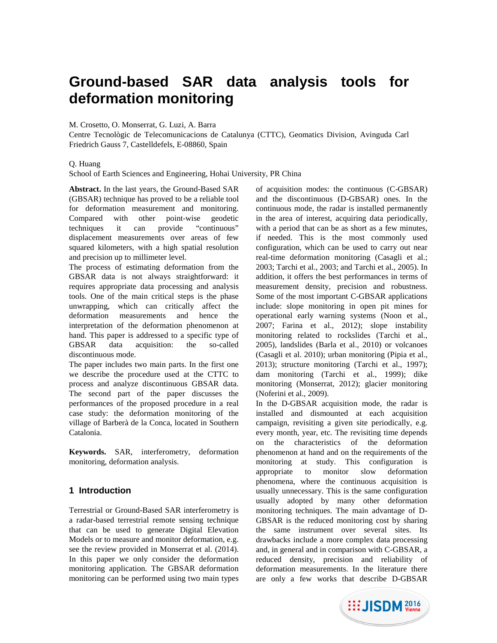# **Ground-based SAR data analysis tools for deformation monitoring**

M. Crosetto, O. Monserrat, G. Luzi, A. Barra

Centre Tecnològic de Telecomunicacions de Catalunya (CTTC), Geomatics Division, Avinguda Carl Friedrich Gauss 7, Castelldefels, E-08860, Spain

### Q. Huang

School of Earth Sciences and Engineering, Hohai University, PR China

**Abstract.** In the last years, the Ground-Based SAR (GBSAR) technique has proved to be a reliable tool for deformation measurement and monitoring. Compared with other point-wise geodetic techniques it can provide "continuous" displacement measurements over areas of few squared kilometers, with a high spatial resolution and precision up to millimeter level.

The process of estimating deformation from the GBSAR data is not always straightforward: it requires appropriate data processing and analysis tools. One of the main critical steps is the phase unwrapping, which can critically affect the deformation measurements and hence the interpretation of the deformation phenomenon at hand. This paper is addressed to a specific type of GBSAR data acquisition: the so-called discontinuous mode.

The paper includes two main parts. In the first one we describe the procedure used at the CTTC to process and analyze discontinuous GBSAR data. The second part of the paper discusses the performances of the proposed procedure in a real case study: the deformation monitoring of the village of Barberà de la Conca, located in Southern Catalonia.

**Keywords.** SAR, interferometry, deformation monitoring, deformation analysis.

## **1 Introduction**

Terrestrial or Ground-Based SAR interferometry is a radar-based terrestrial remote sensing technique that can be used to generate Digital Elevation Models or to measure and monitor deformation, e.g. see the review provided in Monserrat et al. (2014). In this paper we only consider the deformation monitoring application. The GBSAR deformation monitoring can be performed using two main types of acquisition modes: the continuous (C-GBSAR) and the discontinuous (D-GBSAR) ones. In the continuous mode, the radar is installed permanently in the area of interest, acquiring data periodically, with a period that can be as short as a few minutes, if needed. This is the most commonly used configuration, which can be used to carry out near real-time deformation monitoring (Casagli et al.; 2003; Tarchi et al., 2003; and Tarchi et al., 2005). In addition, it offers the best performances in terms of measurement density, precision and robustness. Some of the most important C-GBSAR applications include: slope monitoring in open pit mines for operational early warning systems (Noon et al., 2007; Farina et al., 2012); slope instability monitoring related to rockslides (Tarchi et al., 2005), landslides (Barla et al., 2010) or volcanoes (Casagli et al. 2010); urban monitoring (Pipia et al., 2013); structure monitoring (Tarchi et al., 1997); dam monitoring (Tarchi et al., 1999); dike monitoring (Monserrat, 2012); glacier monitoring (Noferini et al., 2009).

In the D-GBSAR acquisition mode, the radar is installed and dismounted at each acquisition campaign, revisiting a given site periodically, e.g. every month, year, etc. The revisiting time depends on the characteristics of the deformation phenomenon at hand and on the requirements of the monitoring at study. This configuration is appropriate to monitor slow deformation phenomena, where the continuous acquisition is usually unnecessary. This is the same configuration usually adopted by many other deformation monitoring techniques. The main advantage of D-GBSAR is the reduced monitoring cost by sharing the same instrument over several sites. Its drawbacks include a more complex data processing and, in general and in comparison with C-GBSAR, a reduced density, precision and reliability of deformation measurements. In the literature there are only a few works that describe D-GBSAR

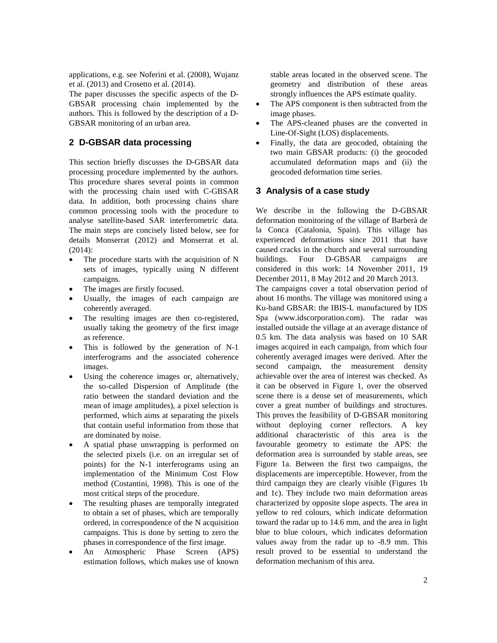applications, e.g. see Noferini et al. (2008), Wujanz et al. (2013) and Crosetto et al. (2014).

The paper discusses the specific aspects of the D-GBSAR processing chain implemented by the authors. This is followed by the description of a D-GBSAR monitoring of an urban area.

## **2 D-GBSAR data processing**

This section briefly discusses the D-GBSAR data processing procedure implemented by the authors. This procedure shares several points in common with the processing chain used with C-GBSAR data. In addition, both processing chains share common processing tools with the procedure to analyse satellite-based SAR interferometric data. The main steps are concisely listed below, see for details Monserrat (2012) and Monserrat et al. (2014):

- The procedure starts with the acquisition of N sets of images, typically using N different campaigns.
- The images are firstly focused.
- Usually, the images of each campaign are coherently averaged.
- The resulting images are then co-registered, usually taking the geometry of the first image as reference.
- This is followed by the generation of N-1 interferograms and the associated coherence images.
- Using the coherence images or, alternatively, the so-called Dispersion of Amplitude (the ratio between the standard deviation and the mean of image amplitudes), a pixel selection is performed, which aims at separating the pixels that contain useful information from those that are dominated by noise.
- A spatial phase unwrapping is performed on the selected pixels (i.e. on an irregular set of points) for the N-1 interferograms using an implementation of the Minimum Cost Flow method (Costantini, 1998). This is one of the most critical steps of the procedure.
- The resulting phases are temporally integrated to obtain a set of phases, which are temporally ordered, in correspondence of the N acquisition campaigns. This is done by setting to zero the phases in correspondence of the first image.
- An Atmospheric Phase Screen (APS) estimation follows, which makes use of known

stable areas located in the observed scene. The geometry and distribution of these areas strongly influences the APS estimate quality.

- The APS component is then subtracted from the image phases.
- The APS-cleaned phases are the converted in Line-Of-Sight (LOS) displacements.
- Finally, the data are geocoded, obtaining the two main GBSAR products: (i) the geocoded accumulated deformation maps and (ii) the geocoded deformation time series.

## **3 Analysis of a case study**

We describe in the following the D-GBSAR deformation monitoring of the village of Barberà de la Conca (Catalonia, Spain). This village has experienced deformations since 2011 that have caused cracks in the church and several surrounding buildings. Four D-GBSAR campaigns are considered in this work: 14 November 2011, 19 December 2011, 8 May 2012 and 20 March 2013.

The campaigns cover a total observation period of about 16 months. The village was monitored using a Ku-band GBSAR: the IBIS-L manufactured by IDS Spa (www.idscorporation.com). The radar was installed outside the village at an average distance of 0.5 km. The data analysis was based on 10 SAR images acquired in each campaign, from which four coherently averaged images were derived. After the second campaign, the measurement density achievable over the area of interest was checked. As it can be observed in Figure 1, over the observed scene there is a dense set of measurements, which cover a great number of buildings and structures. This proves the feasibility of D-GBSAR monitoring without deploying corner reflectors. A key additional characteristic of this area is the favourable geometry to estimate the APS: the deformation area is surrounded by stable areas, see Figure 1a. Between the first two campaigns, the displacements are imperceptible. However, from the third campaign they are clearly visible (Figures 1b and 1c). They include two main deformation areas characterized by opposite slope aspects. The area in yellow to red colours, which indicate deformation toward the radar up to 14.6 mm, and the area in light blue to blue colours, which indicates deformation values away from the radar up to -8.9 mm. This result proved to be essential to understand the deformation mechanism of this area.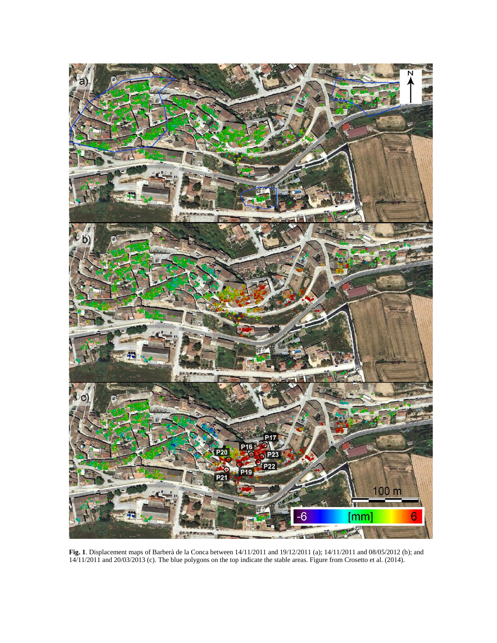

**Fig. 1**. Displacement maps of Barberà de la Conca between 14/11/2011 and 19/12/2011 (a); 14/11/2011 and 08/05/2012 (b); and 14/11/2011 and 20/03/2013 (c). The blue polygons on the top indicate the stable areas. Figure from Crosetto et al. (2014).